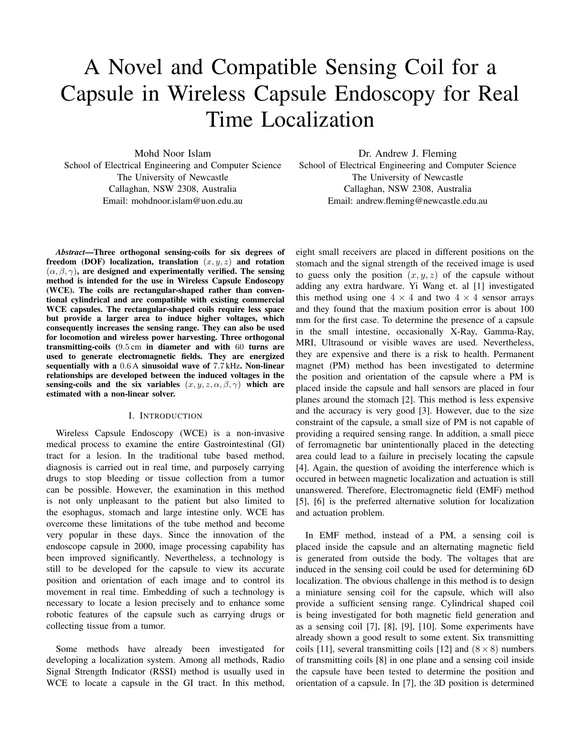# A Novel and Compatible Sensing Coil for a Capsule in Wireless Capsule Endoscopy for Real Time Localization

Mohd Noor Islam School of Electrical Engineering and Computer Science The University of Newcastle Callaghan, NSW 2308, Australia Email: mohdnoor.islam@uon.edu.au

Dr. Andrew J. Fleming School of Electrical Engineering and Computer Science The University of Newcastle Callaghan, NSW 2308, Australia Email: andrew.fleming@newcastle.edu.au

*Abstract*—Three orthogonal sensing-coils for six degrees of freedom (DOF) localization, translation  $(x, y, z)$  and rotation  $(\alpha, \beta, \gamma)$ , are designed and experimentally verified. The sensing method is intended for the use in Wireless Capsule Endoscopy (WCE). The coils are rectangular-shaped rather than conventional cylindrical and are compatible with existing commercial WCE capsules. The rectangular-shaped coils require less space but provide a larger area to induce higher voltages, which consequently increases the sensing range. They can also be used for locomotion and wireless power harvesting. Three orthogonal transmitting-coils (9.5 cm in diameter and with 60 turns are used to generate electromagnetic fields. They are energized sequentially with a 0.6 A sinusoidal wave of 7.7 kHz. Non-linear relationships are developed between the induced voltages in the sensing-coils and the six variables  $(x, y, z, \alpha, \beta, \gamma)$  which are estimated with a non-linear solver.

## I. INTRODUCTION

Wireless Capsule Endoscopy (WCE) is a non-invasive medical process to examine the entire Gastrointestinal (GI) tract for a lesion. In the traditional tube based method, diagnosis is carried out in real time, and purposely carrying drugs to stop bleeding or tissue collection from a tumor can be possible. However, the examination in this method is not only unpleasant to the patient but also limited to the esophagus, stomach and large intestine only. WCE has overcome these limitations of the tube method and become very popular in these days. Since the innovation of the endoscope capsule in 2000, image processing capability has been improved significantly. Nevertheless, a technology is still to be developed for the capsule to view its accurate position and orientation of each image and to control its movement in real time. Embedding of such a technology is necessary to locate a lesion precisely and to enhance some robotic features of the capsule such as carrying drugs or collecting tissue from a tumor.

Some methods have already been investigated for developing a localization system. Among all methods, Radio Signal Strength Indicator (RSSI) method is usually used in WCE to locate a capsule in the GI tract. In this method,

eight small receivers are placed in different positions on the stomach and the signal strength of the received image is used to guess only the position  $(x, y, z)$  of the capsule without adding any extra hardware. Yi Wang et. al [1] investigated this method using one  $4 \times 4$  and two  $4 \times 4$  sensor arrays and they found that the maxium position error is about 100 mm for the first case. To determine the presence of a capsule in the small intestine, occasionally X-Ray, Gamma-Ray, MRI, Ultrasound or visible waves are used. Nevertheless, they are expensive and there is a risk to health. Permanent magnet (PM) method has been investigated to determine the position and orientation of the capsule where a PM is placed inside the capsule and hall sensors are placed in four planes around the stomach [2]. This method is less expensive and the accuracy is very good [3]. However, due to the size constraint of the capsule, a small size of PM is not capable of providing a required sensing range. In addition, a small piece of ferromagnetic bar unintentionally placed in the detecting area could lead to a failure in precisely locating the capsule [4]. Again, the question of avoiding the interference which is occured in between magnetic localization and actuation is still unanswered. Therefore, Electromagnetic field (EMF) method [5], [6] is the preferred alternative solution for localization and actuation problem.

In EMF method, instead of a PM, a sensing coil is placed inside the capsule and an alternating magnetic field is generated from outside the body. The voltages that are induced in the sensing coil could be used for determining 6D localization. The obvious challenge in this method is to design a miniature sensing coil for the capsule, which will also provide a sufficient sensing range. Cylindrical shaped coil is being investigated for both magnetic field generation and as a sensing coil [7], [8], [9], [10]. Some experiments have already shown a good result to some extent. Six transmitting coils [11], several transmitting coils [12] and  $(8 \times 8)$  numbers of transmitting coils [8] in one plane and a sensing coil inside the capsule have been tested to determine the position and orientation of a capsule. In [7], the 3D position is determined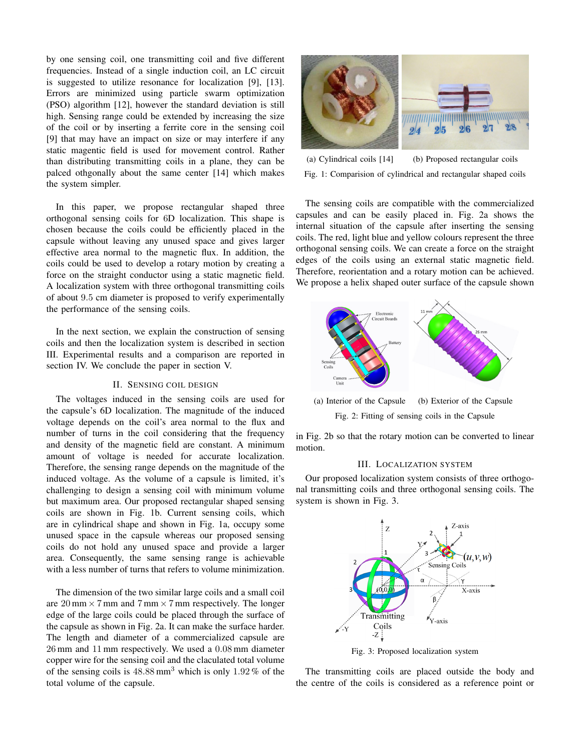by one sensing coil, one transmitting coil and five different frequencies. Instead of a single induction coil, an LC circuit is suggested to utilize resonance for localization [9], [13]. Errors are minimized using particle swarm optimization (PSO) algorithm [12], however the standard deviation is still high. Sensing range could be extended by increasing the size of the coil or by inserting a ferrite core in the sensing coil [9] that may have an impact on size or may interfere if any static magentic field is used for movement control. Rather than distributing transmitting coils in a plane, they can be palced othgonally about the same center [14] which makes the system simpler.

In this paper, we propose rectangular shaped three orthogonal sensing coils for 6D localization. This shape is chosen because the coils could be efficiently placed in the capsule without leaving any unused space and gives larger effective area normal to the magnetic flux. In addition, the coils could be used to develop a rotary motion by creating a force on the straight conductor using a static magnetic field. A localization system with three orthogonal transmitting coils of about 9.5 cm diameter is proposed to verify experimentally the performance of the sensing coils.

In the next section, we explain the construction of sensing coils and then the localization system is described in section III. Experimental results and a comparison are reported in section IV. We conclude the paper in section V.

# II. SENSING COIL DESIGN

The voltages induced in the sensing coils are used for the capsule's 6D localization. The magnitude of the induced voltage depends on the coil's area normal to the flux and number of turns in the coil considering that the frequency and density of the magnetic field are constant. A minimum amount of voltage is needed for accurate localization. Therefore, the sensing range depends on the magnitude of the induced voltage. As the volume of a capsule is limited, it's challenging to design a sensing coil with minimum volume but maximum area. Our proposed rectangular shaped sensing coils are shown in Fig. 1b. Current sensing coils, which are in cylindrical shape and shown in Fig. 1a, occupy some unused space in the capsule whereas our proposed sensing coils do not hold any unused space and provide a larger area. Consequently, the same sensing range is achievable with a less number of turns that refers to volume minimization.

The dimension of the two similar large coils and a small coil are  $20 \text{ mm} \times 7 \text{ mm}$  and  $7 \text{ mm} \times 7 \text{ mm}$  respectively. The longer edge of the large coils could be placed through the surface of the capsule as shown in Fig. 2a. It can make the surface harder. The length and diameter of a commercialized capsule are 26 mm and 11 mm respectively. We used a 0.08 mm diameter copper wire for the sensing coil and the claculated total volume of the sensing coils is  $48.88 \text{ mm}^3$  which is only  $1.92\%$  of the total volume of the capsule.



(a) Cylindrical coils [14] (b) Proposed rectangular coils Fig. 1: Comparision of cylindrical and rectangular shaped coils

The sensing coils are compatible with the commercialized capsules and can be easily placed in. Fig. 2a shows the internal situation of the capsule after inserting the sensing coils. The red, light blue and yellow colours represent the three orthogonal sensing coils. We can create a force on the straight edges of the coils using an external static magnetic field. Therefore, reorientation and a rotary motion can be achieved. We propose a helix shaped outer surface of the capsule shown



(a) Interior of the Capsule (b) Exterior of the Capsule Fig. 2: Fitting of sensing coils in the Capsule

in Fig. 2b so that the rotary motion can be converted to linear motion.

# III. LOCALIZATION SYSTEM

Our proposed localization system consists of three orthogonal transmitting coils and three orthogonal sensing coils. The system is shown in Fig. 3.



Fig. 3: Proposed localization system

The transmitting coils are placed outside the body and the centre of the coils is considered as a reference point or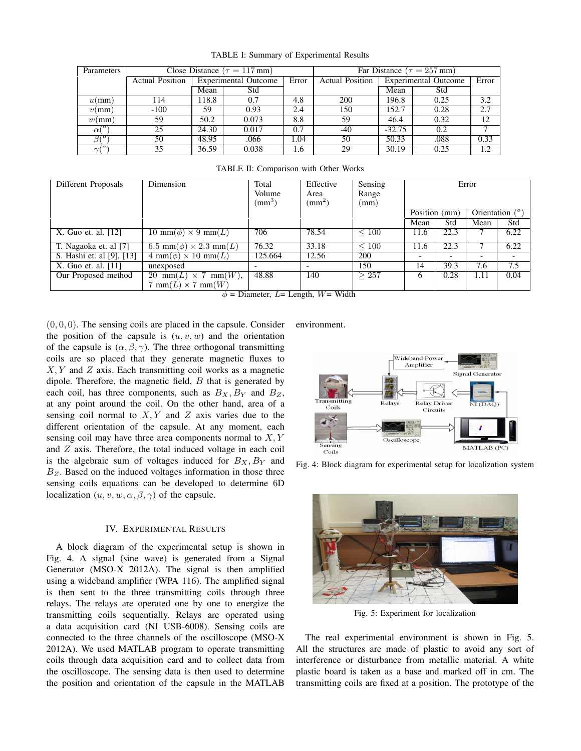| Parameters                                            |                        |                      | Close Distance ( $\tau = 117$ mm) | Far Distance ( $\tau = 257$ mm) |                        |                             |      |       |
|-------------------------------------------------------|------------------------|----------------------|-----------------------------------|---------------------------------|------------------------|-----------------------------|------|-------|
|                                                       | <b>Actual Position</b> | Experimental Outcome |                                   | Error                           | <b>Actual Position</b> | <b>Experimental Outcome</b> |      | Error |
|                                                       |                        | Mean                 | Std                               |                                 |                        | Mean                        | Std  |       |
| $u(\text{mm})$                                        | 114                    | 118.8                | 0.7                               | 4.8                             | 200                    | 196.8                       | 0.25 | 3.2   |
| $v(\text{mm})$                                        | $-100$                 | 59                   | 0.93                              | 2.4                             | 150                    | 152.7                       | 0.28 | 2.7   |
| w(mm)                                                 | 59                     | 50.2                 | 0.073                             | 8.8                             | 59                     | 46.4                        | 0.32 | 12    |
| $\alpha$ <sup><math>\overline{(^{\circ}}</math></sup> | 25                     | 24.30                | 0.017                             | 0.7                             | $-40$                  | $-32.75$                    | 0.2  |       |
| $\beta$ ( $^o$                                        | 50                     | 48.95                | .066                              | 1.04                            | 50                     | 50.33                       | .088 | 0.33  |
| 70<br>$\sim$                                          | 35                     | 36.59                | 0.038                             | 1.6                             | 29                     | 30.19                       | 0.25 | 1.2   |

TABLE I: Summary of Experimental Results

TABLE II: Comparison with Other Works

| Different Proposals       | Dimension                                                                    | Total                                                                                                                               | Effective          | Sensing    | Error                    |      |                            |      |
|---------------------------|------------------------------------------------------------------------------|-------------------------------------------------------------------------------------------------------------------------------------|--------------------|------------|--------------------------|------|----------------------------|------|
|                           |                                                                              | Volume                                                                                                                              | Area               | Range      |                          |      |                            |      |
|                           |                                                                              | $\text{m}^3$                                                                                                                        | (mm <sup>2</sup> ) | (mm)       |                          |      |                            |      |
|                           |                                                                              |                                                                                                                                     |                    |            | Position (mm)            |      | Orientation $\binom{o}{v}$ |      |
|                           |                                                                              |                                                                                                                                     |                    |            | Mean                     | Std  | Mean                       | Std  |
| X. Guo et. al. [12]       | 10 mm( $\phi$ ) × 9 mm(L)                                                    | 706                                                                                                                                 | 78.54              | $\leq 100$ | 11.6                     | 22.3 |                            | 6.22 |
| T. Nagaoka et. al [7]     |                                                                              | 76.32                                                                                                                               | 33.18              | $\leq 100$ | 11.6                     | 22.3 | ┑                          | 6.22 |
| S. Hashi et. al [9], [13] | $4 \text{ mm}(\phi) \times 10 \text{ mm}(L)$                                 | 125.664                                                                                                                             | 12.56              | 200        | $\overline{\phantom{a}}$ |      |                            |      |
| X. Guo et. al. [11]       | unexposed                                                                    |                                                                                                                                     |                    | 150        | 14                       | 39.3 | 7.6                        | 7.5  |
| Our Proposed method       | $\boxed{20 \text{ mm}(L) \times 7 \text{ mm}(W)}$ ,                          | 48.88                                                                                                                               | 140                | $\geq 257$ | 6                        | 0.28 | 1.11                       | 0.04 |
|                           |                                                                              |                                                                                                                                     |                    |            |                          |      |                            |      |
|                           | 6.5 mm( $\phi$ ) × 2.3 mm( $L$ )<br>$7 \text{ mm}(L) \times 7 \text{ mm}(W)$ | $\mathbf{D}$ : $\mathbf{L} = \mathbf{L} - \mathbf{L}$ $\mathbf{L} = \mathbf{L} - \mathbf{L}$ $\mathbf{L} = \mathbf{L} - \mathbf{L}$ |                    |            |                          |      |                            |      |

 $\phi$  = Diameter, L= Length, W= Width

 $(0, 0, 0)$ . The sensing coils are placed in the capsule. Consider the position of the capsule is  $(u, v, w)$  and the orientation of the capsule is  $(\alpha, \beta, \gamma)$ . The three orthogonal transmitting coils are so placed that they generate magnetic fluxes to  $X, Y$  and  $Z$  axis. Each transmitting coil works as a magnetic dipole. Therefore, the magnetic field,  $B$  that is generated by each coil, has three components, such as  $B_X, B_Y$  and  $B_Z$ , at any point around the coil. On the other hand, area of a sensing coil normal to  $X, Y$  and  $Z$  axis varies due to the different orientation of the capsule. At any moment, each sensing coil may have three area components normal to  $X, Y$ and Z axis. Therefore, the total induced voltage in each coil is the algebraic sum of voltages induced for  $B_X, B_Y$  and  $B_Z$ . Based on the induced voltages information in those three sensing coils equations can be developed to determine 6D localization  $(u, v, w, \alpha, \beta, \gamma)$  of the capsule.

#### IV. EXPERIMENTAL RESULTS

A block diagram of the experimental setup is shown in Fig. 4. A signal (sine wave) is generated from a Signal Generator (MSO-X 2012A). The signal is then amplified using a wideband amplifier (WPA 116). The amplified signal is then sent to the three transmitting coils through three relays. The relays are operated one by one to energize the transmitting coils sequentially. Relays are operated using a data acquisition card (NI USB-6008). Sensing coils are connected to the three channels of the oscilloscope (MSO-X 2012A). We used MATLAB program to operate transmitting coils through data acquisition card and to collect data from the oscilloscope. The sensing data is then used to determine the position and orientation of the capsule in the MATLAB environment.



Fig. 4: Block diagram for experimental setup for localization system



Fig. 5: Experiment for localization

The real experimental environment is shown in Fig. 5. All the structures are made of plastic to avoid any sort of interference or disturbance from metallic material. A white plastic board is taken as a base and marked off in cm. The transmitting coils are fixed at a position. The prototype of the